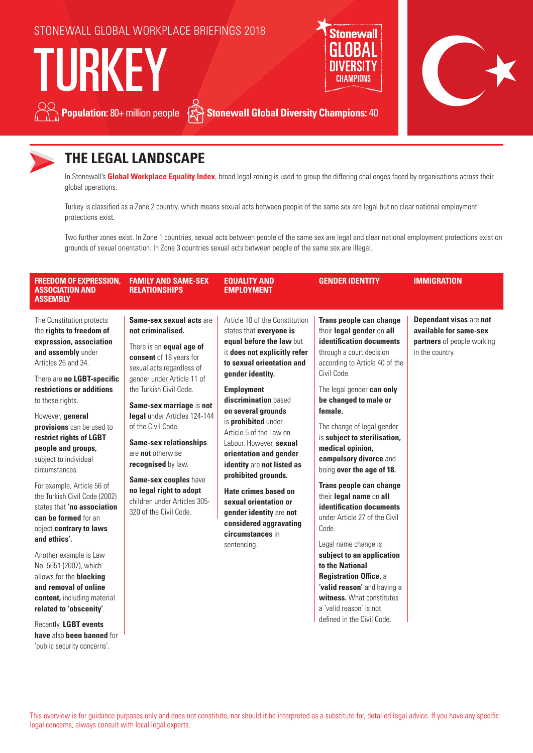



'public security concerns'.

## **THE LEGAL LANDSCAPE**

In Stonewall's **Global Workplace Equality Index**, broad legal zoning is used to group the differing challenges faced by organisations across their global operations.

Turkey is classified as a Zone 2 country, which means sexual acts between people of the same sex are legal but no clear national employment protections exist.

Two further zones exist. In Zone 1 countries, sexual acts between people of the same sex are legal and clear national employment protections exist on grounds of sexual orientation. In Zone 3 countries sexual acts between people of the same sex are illegal.

| <b>FREEDOM OF EXPRESSION,</b><br><b>ASSOCIATION AND</b><br><b>ASSEMBLY</b>                                                                                                                                                                                                                                                                                                                                                                                                                                                                                                                                                                                                                                                   | <b>FAMILY AND SAME-SEX</b><br><b>RELATIONSHIPS</b>                                                                                                                                                                                                                                                                                                                                                                                                                            | <b>EQUALITY AND</b><br><b>EMPLOYMENT</b>                                                                                                                                                                                                                                                                                                                                                                                                                                                                                                       | <b>GENDER IDENTITY</b>                                                                                                                                                                                                                                                                                                                                                                                                                                                                                                                                                                                                                                                                                                     | <b>IMMIGRATION</b>                                                                                        |
|------------------------------------------------------------------------------------------------------------------------------------------------------------------------------------------------------------------------------------------------------------------------------------------------------------------------------------------------------------------------------------------------------------------------------------------------------------------------------------------------------------------------------------------------------------------------------------------------------------------------------------------------------------------------------------------------------------------------------|-------------------------------------------------------------------------------------------------------------------------------------------------------------------------------------------------------------------------------------------------------------------------------------------------------------------------------------------------------------------------------------------------------------------------------------------------------------------------------|------------------------------------------------------------------------------------------------------------------------------------------------------------------------------------------------------------------------------------------------------------------------------------------------------------------------------------------------------------------------------------------------------------------------------------------------------------------------------------------------------------------------------------------------|----------------------------------------------------------------------------------------------------------------------------------------------------------------------------------------------------------------------------------------------------------------------------------------------------------------------------------------------------------------------------------------------------------------------------------------------------------------------------------------------------------------------------------------------------------------------------------------------------------------------------------------------------------------------------------------------------------------------------|-----------------------------------------------------------------------------------------------------------|
| The Constitution protects<br>the rights to freedom of<br>expression, association<br>and assembly under<br>Articles 26 and 34.<br>There are no LGBT-specific<br>restrictions or additions<br>to these rights.<br>However, general<br>provisions can be used to<br>restrict rights of LGBT<br>people and groups,<br>subject to individual<br>circumstances.<br>For example, Article 56 of<br>the Turkish Civil Code (2002)<br>states that 'no association<br>can be formed for an<br>object contrary to laws<br>and ethics'.<br>Another example is Law<br>No. 5651 (2007), which<br>allows for the <b>blocking</b><br>and removal of online<br>content, including material<br>related to 'obscenity'.<br>Recently, LGBT events | Same-sex sexual acts are<br>not criminalised.<br>There is an <b>equal age of</b><br>consent of 18 years for<br>sexual acts regardless of<br>gender under Article 11 of<br>the Turkish Civil Code.<br>Same-sex marriage is not<br>legal under Articles 124-144<br>of the Civil Code.<br><b>Same-sex relationships</b><br>are not otherwise<br>recognised by law.<br>Same-sex couples have<br>no legal right to adopt<br>children under Articles 305-<br>320 of the Civil Code. | Article 10 of the Constitution<br>states that everyone is<br>equal before the law but<br>it does not explicitly refer<br>to sexual orientation and<br>gender identity.<br><b>Employment</b><br>discrimination based<br>on several grounds<br>is prohibited under<br>Article 5 of the Law on<br>Labour. However. sexual<br>orientation and gender<br>identity are not listed as<br>prohibited grounds.<br>Hate crimes based on<br>sexual orientation or<br>gender identity are not<br>considered aggravating<br>circumstances in<br>sentencing. | Trans people can change<br>their legal gender on all<br>identification documents<br>through a court decision<br>according to Article 40 of the<br>Civil Code.<br>The legal gender can only<br>be changed to male or<br>female.<br>The change of legal gender<br>is subject to sterilisation,<br>medical opinion,<br>compulsory divorce and<br>being over the age of 18.<br>Trans people can change<br>their legal name on all<br>identification documents<br>under Article 27 of the Civil<br>Code.<br>Legal name change is<br>subject to an application<br>to the National<br>Registration Office, a<br>'valid reason' and having a<br>witness. What constitutes<br>a 'valid reason' is not<br>defined in the Civil Code. | <b>Dependant visas are not</b><br>available for same-sex<br>partners of people working<br>in the country. |
| have also been banned for                                                                                                                                                                                                                                                                                                                                                                                                                                                                                                                                                                                                                                                                                                    |                                                                                                                                                                                                                                                                                                                                                                                                                                                                               |                                                                                                                                                                                                                                                                                                                                                                                                                                                                                                                                                |                                                                                                                                                                                                                                                                                                                                                                                                                                                                                                                                                                                                                                                                                                                            |                                                                                                           |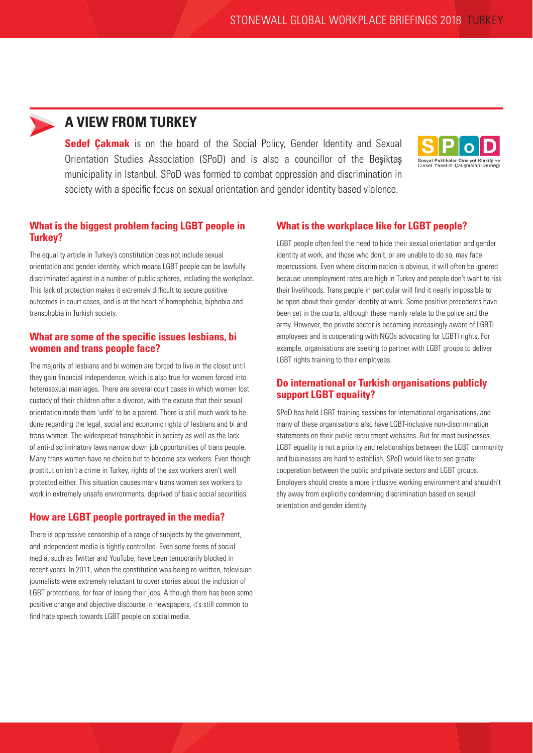## **A VIEW FROM TURKEY**

**Sedef Cakmak** is on the board of the Social Policy, Gender Identity and Sexual Orientation Studies Association (SPoD) and is also a councillor of the Beşiktaş municipality in Istanbul. SPoD was formed to combat oppression and discrimination in society with a specific focus on sexual orientation and gender identity based violence.



#### **What is the biggest problem facing LGBT people in Turkey?**

The equality article in Turkey's constitution does not include sexual orientation and gender identity, which means LGBT people can be lawfully discriminated against in a number of public spheres, including the workplace. This lack of protection makes it extremely difficult to secure positive outcomes in court cases, and is at the heart of homophobia, biphobia and transphobia in Turkish society.

#### **What are some of the specific issues lesbians, bi women and trans people face?**

The majority of lesbians and bi women are forced to live in the closet until they gain financial independence, which is also true for women forced into heterosexual marriages. There are several court cases in which women lost custody of their children after a divorce, with the excuse that their sexual orientation made them 'unfit' to be a parent. There is still much work to be done regarding the legal, social and economic rights of lesbians and bi and trans women. The widespread transphobia in society as well as the lack of anti-discriminatory laws narrow down job opportunities of trans people. Many trans women have no choice but to become sex workers. Even though prostitution isn't a crime in Turkey, rights of the sex workers aren't well protected either. This situation causes many trans women sex workers to work in extremely unsafe environments, deprived of basic social securities.

### **How are LGBT people portrayed in the media?**

There is oppressive censorship of a range of subjects by the government. and independent media is tightly controlled. Even some forms of social media, such as Twitter and YouTube, have been temporarily blocked in recent years. In 2011, when the constitution was being re-written, television journalists were extremely reluctant to cover stories about the inclusion of LGBT protections, for fear of losing their jobs. Although there has been some positive change and objective discourse in newspapers, it's still common to find hate speech towards LGBT people on social media.

#### **What is the workplace like for LGBT people?**

LGBT people often feel the need to hide their sexual orientation and gender identity at work, and those who don't, or are unable to do so, may face repercussions. Even where discrimination is obvious, it will often be ignored because unemployment rates are high in Turkey and people don't want to risk their livelihoods. Trans people in particular will find it nearly impossible to be open about their gender identity at work. Some positive precedents have been set in the courts, although these mainly relate to the police and the army. However, the private sector is becoming increasingly aware of LGBTI employees and is cooperating with NGOs advocating for LGBTI rights. For example, organisations are seeking to partner with LGBT groups to deliver LGBT rights training to their employees.

#### **Do international or Turkish organisations publicly support LGBT equality?**

SPoD has held LGBT training sessions for international organisations, and many of these organisations also have LGBT-inclusive non-discrimination statements on their public recruitment websites. But for most businesses, LGBT equality is not a priority and relationships between the LGBT community and businesses are hard to establish. SPoD would like to see greater cooperation between the public and private sectors and LGBT groups. Employers should create a more inclusive working environment and shouldn't shy away from explicitly condemning discrimination based on sexual orientation and gender identity.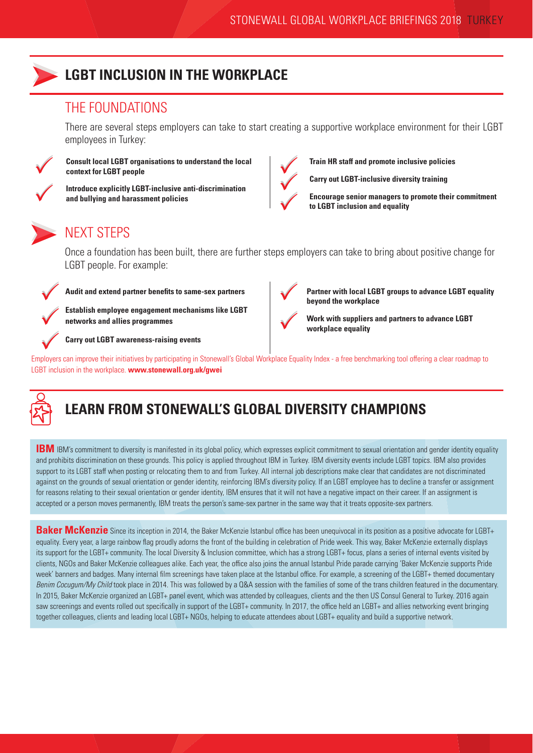

# **LGBT INCLUSION IN THE WORKPLACE**

### THE FOUNDATIONS

There are several steps employers can take to start creating a supportive workplace environment for their LGBT employees in Turkey:



**Consult local LGBT organisations to understand the local context for LGBT people**

PP

**Introduce explicitly LGBT-inclusive anti-discrimination** 

**and bullying and harassment policies**



**Train HR staff and promote inclusive policies**

**Carry out LGBT-inclusive diversity training**

 $\bigvee$ 

**Encourage senior managers to promote their commitment to LGBT inclusion and equality** 

NEXT STEPS

Once a foundation has been built, there are further steps employers can take to bring about positive change for LGBT people. For example:



Audit and extend partner benefits to same-sex partners<br> **A** Patchlick and two concernent mechanisms like LCDT

Establish employee engagement mechanisms like LGBT<br>
networks and allies programmes<br> **PRESENTER PRESENTATION PRESENTATION networks and allies programmes**

**Carry out LGBT awareness-raising events**



**Partner with local LGBT groups to advance LGBT equality beyond the workplace**

**Work with suppliers and partners to advance LGBT workplace equality**

Carry out LGBT awareness-raising events<br>Employers can improve their initiatives by participating in Stonewall's Global Workplace Equality Index - a free benchmarking tool offering a clear roadmap to LGBT inclusion in the workplace. **www.stonewall.org.uk/gwei**



# **LEARN FROM STONEWALL'S GLOBAL DIVERSITY CHAMPIONS**

**IBM** IBM's commitment to diversity is manifested in its global policy, which expresses explicit commitment to sexual orientation and gender identity equality and prohibits discrimination on these grounds. This policy is applied throughout IBM in Turkey. IBM diversity events include LGBT topics. IBM also provides support to its LGBT staff when posting or relocating them to and from Turkey. All internal job descriptions make clear that candidates are not discriminated against on the grounds of sexual orientation or gender identity, reinforcing IBM's diversity policy. If an LGBT employee has to decline a transfer or assignment for reasons relating to their sexual orientation or gender identity, IBM ensures that it will not have a negative impact on their career. If an assignment is accepted or a person moves permanently, IBM treats the person's same-sex partner in the same way that it treats opposite-sex partners.

**Baker McKenzie** Since its inception in 2014, the Baker McKenzie Istanbul office has been unequivocal in its position as a positive advocate for LGBT+ equality. Every year, a large rainbow flag proudly adorns the front of the building in celebration of Pride week. This way, Baker McKenzie externally displays its support for the LGBT+ community. The local Diversity & Inclusion committee, which has a strong LGBT+ focus, plans a series of internal events visited by clients, NGOs and Baker McKenzie colleagues alike. Each year, the office also joins the annual Istanbul Pride parade carrying 'Baker McKenzie supports Pride week' banners and badges. Many internal film screenings have taken place at the Istanbul office. For example, a screening of the LGBT+ themed documentary *Benim Cocugum/My Child* took place in 2014. This was followed by a Q&A session with the families of some of the trans children featured in the documentary. In 2015, Baker McKenzie organized an LGBT+ panel event, which was attended by colleagues, clients and the then US Consul General to Turkey. 2016 again saw screenings and events rolled out specifically in support of the LGBT+ community. In 2017, the office held an LGBT+ and allies networking event bringing together colleagues, clients and leading local LGBT+ NGOs, helping to educate attendees about LGBT+ equality and build a supportive network.